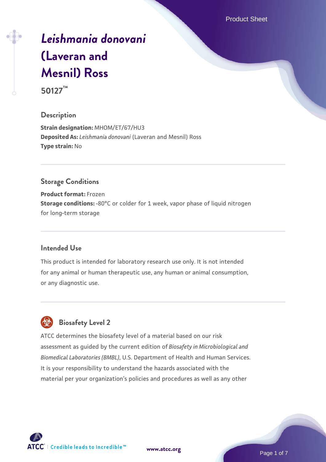Product Sheet

# *[Leishmania donovani](https://www.atcc.org/products/50127)* **[\(Laveran and](https://www.atcc.org/products/50127) [Mesnil\) Ross](https://www.atcc.org/products/50127) 50127™**

# **Description**

**Strain designation:** MHOM/ET/67/HU3 **Deposited As:** *Leishmania donovani* (Laveran and Mesnil) Ross **Type strain:** No

# **Storage Conditions**

**Product format:** Frozen **Storage conditions:** -80°C or colder for 1 week, vapor phase of liquid nitrogen for long-term storage

#### **Intended Use**

This product is intended for laboratory research use only. It is not intended for any animal or human therapeutic use, any human or animal consumption, or any diagnostic use.



# **Biosafety Level 2**

ATCC determines the biosafety level of a material based on our risk assessment as guided by the current edition of *Biosafety in Microbiological and Biomedical Laboratories (BMBL)*, U.S. Department of Health and Human Services. It is your responsibility to understand the hazards associated with the material per your organization's policies and procedures as well as any other



**[www.atcc.org](http://www.atcc.org)**

Page 1 of 7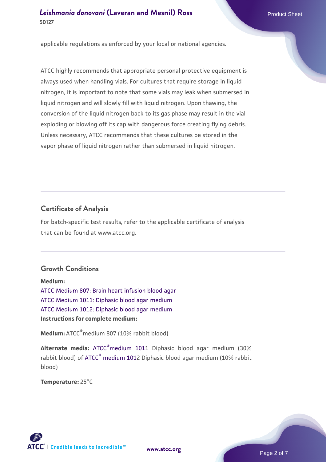applicable regulations as enforced by your local or national agencies.

ATCC highly recommends that appropriate personal protective equipment is always used when handling vials. For cultures that require storage in liquid nitrogen, it is important to note that some vials may leak when submersed in liquid nitrogen and will slowly fill with liquid nitrogen. Upon thawing, the conversion of the liquid nitrogen back to its gas phase may result in the vial exploding or blowing off its cap with dangerous force creating flying debris. Unless necessary, ATCC recommends that these cultures be stored in the vapor phase of liquid nitrogen rather than submersed in liquid nitrogen.

# **Certificate of Analysis**

For batch-specific test results, refer to the applicable certificate of analysis that can be found at www.atcc.org.

# **Growth Conditions**

**Medium:**  [ATCC Medium 807: Brain heart infusion blood agar](https://www.atcc.org/-/media/product-assets/documents/microbial-media-formulations/8/0/7/atcc-medium-807.pdf?rev=301d96d4d35d4fb3a6206197a72fb728) [ATCC Medium 1011: Diphasic blood agar medium](https://www.atcc.org/-/media/product-assets/documents/microbial-media-formulations/1/0/1/1/atcc-medium-1011.pdf?rev=a9474d33d1d5486daab015890721755f) [ATCC Medium 1012: Diphasic blood agar medium](https://www.atcc.org/-/media/product-assets/documents/microbial-media-formulations/1/0/1/2/atcc-medium-1012.pdf?rev=38b18eaded954098bc05b4add95c2fa4) **Instructions for complete medium:**

**Medium:** ATCC®medium 807 (10% rabbit blood)

**Alternate media:** [ATCC](http://www.atcc.org/mediapdfs/1011.pdf)[®](http://www.atcc.org/mediapdfs/1011.pdf)[medium](http://www.atcc.org/mediapdfs/1011.pdf) 1011 Diphasic blood agar medium (30% rabbit blood) of [ATCC](http://www.atcc.org/mediapdfs/1011.pdf)[®](http://www.atcc.org/mediapdfs/1011.pdf) [medium](http://www.atcc.org/mediapdfs/1011.pdf) 1012 Diphasic blood agar medium (10% rabbit blood)

**Temperature:** 25°C



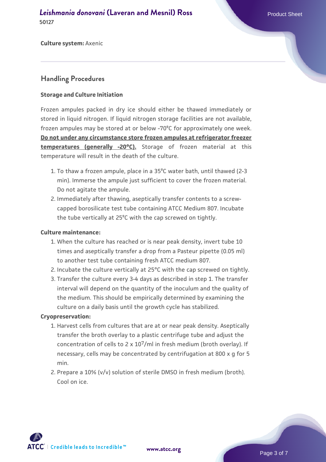**Culture system:** Axenic

#### **Handling Procedures**

#### **Storage and Culture Initiation**

Frozen ampules packed in dry ice should either be thawed immediately or stored in liquid nitrogen. If liquid nitrogen storage facilities are not available, frozen ampules may be stored at or below -70ºC for approximately one week. **Do not under any circumstance store frozen ampules at refrigerator freezer temperatures (generally -20°C).** Storage of frozen material at this temperature will result in the death of the culture.

- To thaw a frozen ampule, place in a 35ºC water bath, until thawed (2-3 1. min). Immerse the ampule just sufficient to cover the frozen material. Do not agitate the ampule.
- 2. Immediately after thawing, aseptically transfer contents to a screwcapped borosilicate test tube containing ATCC Medium 807. Incubate the tube vertically at 25ºC with the cap screwed on tightly.

#### **Culture maintenance:**

- When the culture has reached or is near peak density, invert tube 10 1. times and aseptically transfer a drop from a Pasteur pipette (0.05 ml) to another test tube containing fresh ATCC medium 807.
- 2. Incubate the culture vertically at 25°C with the cap screwed on tightly.
- 3. Transfer the culture every 3-4 days as described in step 1. The transfer interval will depend on the quantity of the inoculum and the quality of the medium. This should be empirically determined by examining the culture on a daily basis until the growth cycle has stabilized.

#### **Cryopreservation:**

- 1. Harvest cells from cultures that are at or near peak density. Aseptically transfer the broth overlay to a plastic centrifuge tube and adjust the concentration of cells to 2 x 107/ml in fresh medium (broth overlay). If necessary, cells may be concentrated by centrifugation at 800 x g for 5 min.
- 2. Prepare a 10% (v/v) solution of sterile DMSO in fresh medium (broth). Cool on ice.

 $\mathsf{ATCC}^{\dagger} \mid$  Credible leads to Incredible  $\mathbb{\mathbb{M}}$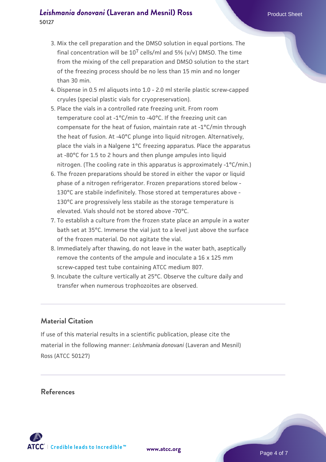- 3. Mix the cell preparation and the DMSO solution in equal portions. The final concentration will be  $10^7$  cells/ml and 5% (v/v) DMSO. The time from the mixing of the cell preparation and DMSO solution to the start of the freezing process should be no less than 15 min and no longer than 30 min.
- 4. Dispense in 0.5 ml aliquots into 1.0 2.0 ml sterile plastic screw-capped cryules (special plastic vials for cryopreservation).
- Place the vials in a controlled rate freezing unit. From room 5. temperature cool at -1°C/min to -40°C. If the freezing unit can compensate for the heat of fusion, maintain rate at -1°C/min through the heat of fusion. At -40°C plunge into liquid nitrogen. Alternatively, place the vials in a Nalgene 1°C freezing apparatus. Place the apparatus at -80°C for 1.5 to 2 hours and then plunge ampules into liquid nitrogen. (The cooling rate in this apparatus is approximately -1°C/min.)
- 6. The frozen preparations should be stored in either the vapor or liquid phase of a nitrogen refrigerator. Frozen preparations stored below - 130°C are stabile indefinitely. Those stored at temperatures above - 130°C are progressively less stabile as the storage temperature is elevated. Vials should not be stored above -70°C.
- To establish a culture from the frozen state place an ampule in a water 7. bath set at 35°C. Immerse the vial just to a level just above the surface of the frozen material. Do not agitate the vial.
- 8. Immediately after thawing, do not leave in the water bath, aseptically remove the contents of the ampule and inoculate a 16 x 125 mm screw-capped test tube containing ATCC medium 807.
- 9. Incubate the culture vertically at 25°C. Observe the culture daily and transfer when numerous trophozoites are observed.

# **Material Citation**

If use of this material results in a scientific publication, please cite the material in the following manner: *Leishmania donovani* (Laveran and Mesnil) Ross (ATCC 50127)

#### **References**

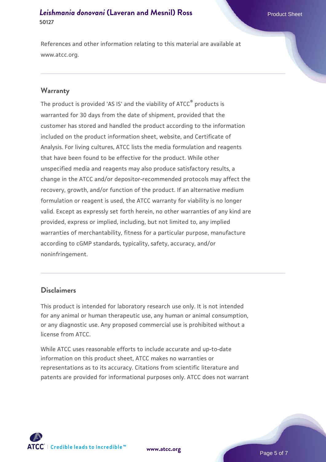References and other information relating to this material are available at www.atcc.org.

#### **Warranty**

The product is provided 'AS IS' and the viability of ATCC® products is warranted for 30 days from the date of shipment, provided that the customer has stored and handled the product according to the information included on the product information sheet, website, and Certificate of Analysis. For living cultures, ATCC lists the media formulation and reagents that have been found to be effective for the product. While other unspecified media and reagents may also produce satisfactory results, a change in the ATCC and/or depositor-recommended protocols may affect the recovery, growth, and/or function of the product. If an alternative medium formulation or reagent is used, the ATCC warranty for viability is no longer valid. Except as expressly set forth herein, no other warranties of any kind are provided, express or implied, including, but not limited to, any implied warranties of merchantability, fitness for a particular purpose, manufacture according to cGMP standards, typicality, safety, accuracy, and/or noninfringement.

#### **Disclaimers**

This product is intended for laboratory research use only. It is not intended for any animal or human therapeutic use, any human or animal consumption, or any diagnostic use. Any proposed commercial use is prohibited without a license from ATCC.

While ATCC uses reasonable efforts to include accurate and up-to-date information on this product sheet, ATCC makes no warranties or representations as to its accuracy. Citations from scientific literature and patents are provided for informational purposes only. ATCC does not warrant



**[www.atcc.org](http://www.atcc.org)**

Page 5 of 7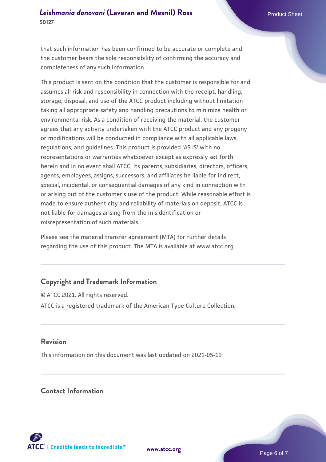that such information has been confirmed to be accurate or complete and the customer bears the sole responsibility of confirming the accuracy and completeness of any such information.

This product is sent on the condition that the customer is responsible for and assumes all risk and responsibility in connection with the receipt, handling, storage, disposal, and use of the ATCC product including without limitation taking all appropriate safety and handling precautions to minimize health or environmental risk. As a condition of receiving the material, the customer agrees that any activity undertaken with the ATCC product and any progeny or modifications will be conducted in compliance with all applicable laws, regulations, and guidelines. This product is provided 'AS IS' with no representations or warranties whatsoever except as expressly set forth herein and in no event shall ATCC, its parents, subsidiaries, directors, officers, agents, employees, assigns, successors, and affiliates be liable for indirect, special, incidental, or consequential damages of any kind in connection with or arising out of the customer's use of the product. While reasonable effort is made to ensure authenticity and reliability of materials on deposit, ATCC is not liable for damages arising from the misidentification or misrepresentation of such materials.

Please see the material transfer agreement (MTA) for further details regarding the use of this product. The MTA is available at www.atcc.org.

# **Copyright and Trademark Information**

© ATCC 2021. All rights reserved. ATCC is a registered trademark of the American Type Culture Collection.

## **Revision**

This information on this document was last updated on 2021-05-19

## **Contact Information**



**[www.atcc.org](http://www.atcc.org)**